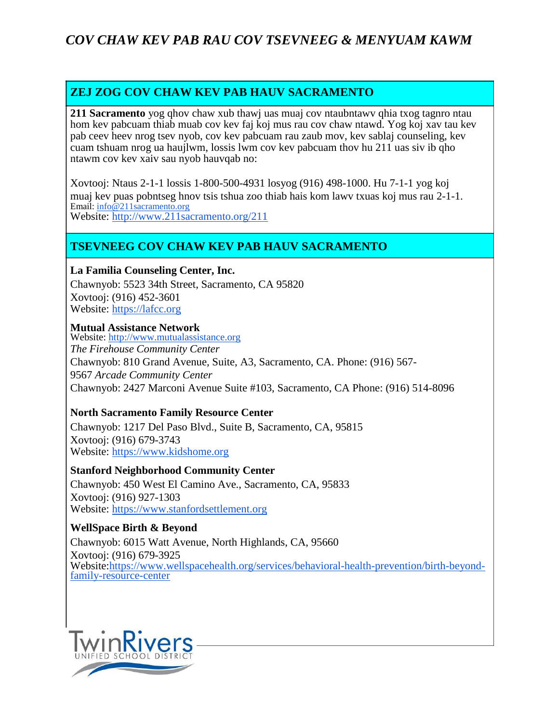# *COV CHAW KEV PAB RAU COV TSEVNEEG & MENYUAM KAWM*

## **ZEJ ZOG COV CHAW KEV PAB HAUV SACRAMENTO**

**211 Sacramento** yog qhov chaw xub thawj uas muaj cov ntaubntawv qhia txog tagnro ntau hom kev pabcuam thiab muab cov kev faj koj mus rau cov chaw ntawd. Yog koj xav tau kev pab ceev heev nrog tsev nyob, cov kev pabcuam rau zaub mov, kev sablaj counseling, kev cuam tshuam nrog ua haujlwm, lossis lwm cov kev pabcuam thov hu 211 uas siv ib qho ntawm cov kev xaiv sau nyob hauvqab no:

Xovtooj: Ntaus 2-1-1 lossis 1-800-500-4931 losyog (916) 498-1000. Hu 7-1-1 yog koj muaj kev puas pobntseg hnov tsis tshua zoo thiab hais kom lawv txuas koj mus rau 2-1-1. Email: [info@211sacramento.org](mailto:info@211sacramento.org) Website:<http://www.211sacramento.org/211>

### **TSEVNEEG COV CHAW KEV PAB HAUV SACRAMENTO**

#### **La Familia Counseling Center, Inc.**

Chawnyob: 5523 34th Street, Sacramento, CA 95820 Xovtooj: (916) 452-3601 Website: [https://lafcc.org](https://lafcc.org/)

#### **Mutual Assistance Network**

Website: [http://www.mutualassistance.org](http://www.mutualassistance.org/) *The Firehouse Community Center* Chawnyob: 810 Grand Avenue, Suite, A3, Sacramento, CA. Phone: (916) 567- 9567 *Arcade Community Center* Chawnyob: 2427 Marconi Avenue Suite #103, Sacramento, CA Phone: (916) 514-8096

### **North Sacramento Family Resource Center**

Chawnyob: 1217 Del Paso Blvd., Suite B, Sacramento, CA, 95815 Xovtooj: (916) 679-3743 Website: [https://www.kidshome.org](https://www.kidshome.org/)

#### **Stanford Neighborhood Community Center**

Chawnyob: 450 West El Camino Ave., Sacramento, CA, 95833 Xovtooj: (916) 927-1303 Website: [https://www.stanfordsettlement.org](https://www.stanfordsettlement.org/)

### **WellSpace Birth & Beyond**

Chawnyob: 6015 Watt Avenue, North Highlands, CA, 95660 Xovtooj: (916) 679-3925 Website[:https://www.wellspacehealth.org/services/behavioral-health-prevention/birth-beyond](https://www.wellspacehealth.org/services/behavioral-health-prevention/birth-beyond-family-resource-center)[family-resource-center](https://www.wellspacehealth.org/services/behavioral-health-prevention/birth-beyond-family-resource-center)

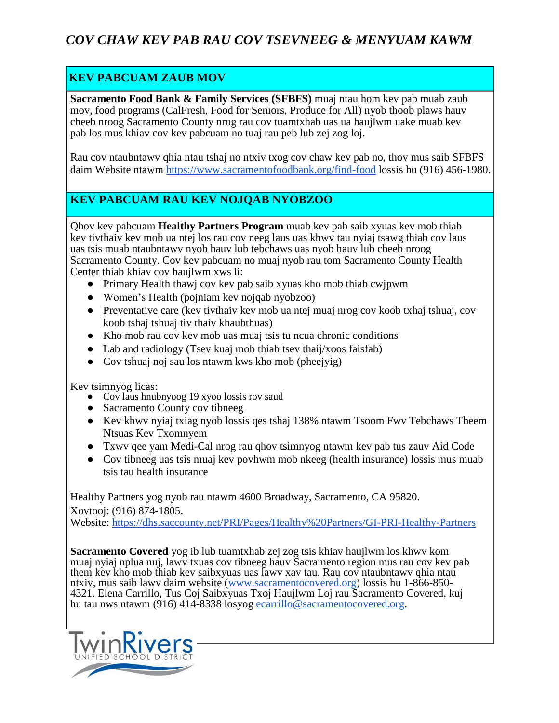# *COV CHAW KEV PAB RAU COV TSEVNEEG & MENYUAM KAWM*

## **KEV PABCUAM ZAUB MOV**

**Sacramento Food Bank & Family Services (SFBFS)** muaj ntau hom kev pab muab zaub mov, food programs (CalFresh, Food for Seniors, Produce for All) nyob thoob plaws hauv cheeb nroog Sacramento County nrog rau cov tuamtxhab uas ua haujlwm uake muab kev pab los mus khiav cov kev pabcuam no tuaj rau peb lub zej zog loj.

Rau cov ntaubntawv qhia ntau tshaj no ntxiv txog cov chaw kev pab no, thov mus saib SFBFS daim Website ntawm <https://www.sacramentofoodbank.org/find-food> lossis hu (916) 456-1980.

## **KEV PABCUAM RAU KEV NOJQAB NYOBZOO**

Qhov kev pabcuam **Healthy Partners Program** muab kev pab saib xyuas kev mob thiab kev tivthaiv kev mob ua ntej los rau cov neeg laus uas khwv tau nyiaj tsawg thiab cov laus uas tsis muab ntaubntawv nyob hauv lub tebchaws uas nyob hauv lub cheeb nroog Sacramento County. Cov kev pabcuam no muaj nyob rau tom Sacramento County Health Center thiab khiav cov haujlwm xws li:

- Primary Health thawj cov kev pab saib xyuas kho mob thiab cwjpwm
- Women's Health (pojniam kev nojqab nyobzoo)
- Preventative care (kev tivthaiv kev mob ua ntej muaj nrog cov koob txhaj tshuaj, cov koob tshaj tshuaj tiv thaiv khaubthuas)
- Kho mob rau cov kev mob uas muaj tsis tu ncua chronic conditions
- Lab and radiology (Tsev kuaj mob thiab tsev thaij/xoos faisfab)
- Cov tshuaj noj sau los ntawm kws kho mob (pheejyig)

Kev tsimnyog licas:

- Cov laus hnubnyoog 19 xyoo lossis rov saud
- Sacramento County cov tibneeg
- Kev khwv nyiaj txiag nyob lossis qes tshaj 138% ntawm Tsoom Fwv Tebchaws Theem Ntsuas Kev Txomnyem
- Txwy qee yam Medi-Cal nrog rau qhov tsimnyog ntawm kev pab tus zauv Aid Code
- Cov tibneeg uas tsis muaj kev povhwm mob nkeeg (health insurance) lossis mus muab tsis tau health insurance

Healthy Partners yog nyob rau ntawm 4600 Broadway, Sacramento, CA 95820.

Xovtooj: (916) 874-1805.

Website:<https://dhs.saccounty.net/PRI/Pages/Healthy%20Partners/GI-PRI-Healthy-Partners>

**Sacramento Covered** yog ib lub tuamtxhab zej zog tsis khiav haujlwm los khwv kom muaj nyiaj nplua nuj, lawv txuas cov tibneeg hauv Sacramento region mus rau cov kev pab them kev kho mob thiab kev saibxyuas uas lawv xav tau. Rau cov ntaubntawv qhia ntau ntxiv, mus saib lawv daim website [\(www.sacramentocovered.org\)](https://www.sacramentocovered.org/) lossis hu 1-866-850-4321. Elena Carrillo, Tus Coj Saibxyuas Txoj Haujlwm Loj rau Sacramento Covered, kuj hu tau nws ntawm (916) 414-8338 losyog [ecarrillo@sacramentocovered.org.](mailto:ecarrillo@sacramentocovered.org)

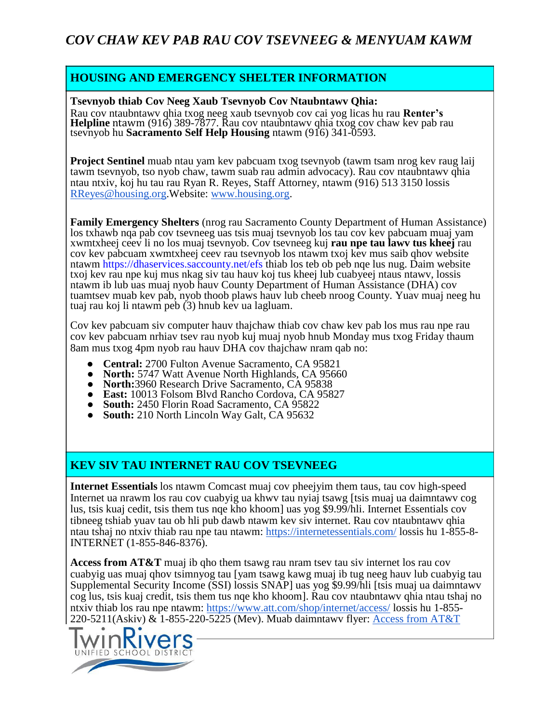## **HOUSING AND EMERGENCY SHELTER INFORMATION**

#### **Tsevnyob thiab Cov Neeg Xaub Tsevnyob Cov Ntaubntawv Qhia:**

Rau cov ntaubntawv qhia txog neeg xaub tsevnyob cov cai yog licas hu rau **Renter's Helpline** ntawm (916) 389-7877. Rau cov ntaubntawv qhia txog cov chaw kev pab rau tsevnyob hu **Sacramento Self Help Housing** ntawm (916) 341-0593.

**Project Sentinel** muab ntau yam kev pabcuam txog tsevnyob (tawm tsam nrog kev raug laij tawm tsevnyob, tso nyob chaw, tawm suab rau admin advocacy). Rau cov ntaubntawv qhia ntau ntxiv, koj hu tau rau Ryan R. Reyes, Staff Attorney, ntawm (916) 513 3150 lossis [RReyes@housing.org.](mailto:RReyes@housing.org)Website: [www.housing.org.](http://www.housing.org/)

**Family Emergency Shelters** (nrog rau Sacramento County Department of Human Assistance) los txhawb nqa pab cov tsevneeg uas tsis muaj tsevnyob los tau cov kev pabcuam muaj yam xwmtxheej ceev li no los muaj tsevnyob. Cov tsevneeg kuj **rau npe tau lawv tus kheej** rau cov kev pabcuam xwmtxheej ceev rau tsevnyob los ntawm txoj kev mus saib qhov website ntawm<https://dhaservices.saccounty.net/efs> thiab los teb ob peb nqe lus nug. Daim website txoj kev rau npe kuj mus nkag siv tau hauv koj tus kheej lub cuabyeej ntaus ntawv, lossis ntawm ib lub uas muaj nyob hauv County Department of Human Assistance (DHA) cov tuamtsev muab kev pab, nyob thoob plaws hauv lub cheeb nroog County. Yuav muaj neeg hu tuaj rau koj li ntawm peb (3) hnub kev ua lagluam.

Cov kev pabcuam siv computer hauv thajchaw thiab cov chaw kev pab los mus rau npe rau cov kev pabcuam nrhiav tsev rau nyob kuj muaj nyob hnub Monday mus txog Friday thaum 8am mus txog 4pm nyob rau hauv DHA cov thajchaw nram qab no:

- Central: 2700 Fulton Avenue Sacramento, CA 95821
- **North:** 5747 Watt Avenue North Highlands, CA 95660
- **North:**3960 Research Drive Sacramento, CA 95838
- **East:** 10013 Folsom Blvd Rancho Cordova, CA 95827
- **South:** 2450 Florin Road Sacramento, CA 95822
- **South:** 210 North Lincoln Way Galt, CA 95632

## **KEV SIV TAU INTERNET RAU COV TSEVNEEG**

**Internet Essentials** los ntawm Comcast muaj cov pheejyim them taus, tau cov high-speed Internet ua nrawm los rau cov cuabyig ua khwv tau nyiaj tsawg [tsis muaj ua daimntawv cog lus, tsis kuaj cedit, tsis them tus nqe kho khoom] uas yog \$9.99/hli. Internet Essentials cov tibneeg tshiab yuav tau ob hli pub dawb ntawm kev siv internet. Rau cov ntaubntawv qhia ntau tshaj no ntxiv thiab rau npe tau ntawm:<https://internetessentials.com/> lossis hu 1-855-8- INTERNET (1-855-846-8376).

**Access from AT&T** muaj ib qho them tsawg rau nram tsev tau siv internet los rau cov cuabyig uas muaj qhov tsimnyog tau [yam tsawg kawg muaj ib tug neeg hauv lub cuabyig tau Supplemental Security Income (SSI) lossis SNAP] uas yog \$9.99/hli [tsis muaj ua daimntawv cog lus, tsis kuaj credit, tsis them tus nqe kho khoom]. Rau cov ntaubntawv qhia ntau tshaj no ntxiv thiab los rau npe ntawm:<https://www.att.com/shop/internet/access/> lossis hu 1-855-220-5211(Askiv) & 1-855-220-5225 (Mev). Muab daimntawv flyer: [Access from AT&T](http://digitalyou.att.com/wp-content/uploads/2016/04/Access-from-ATT_Families-Flyer.pdf)

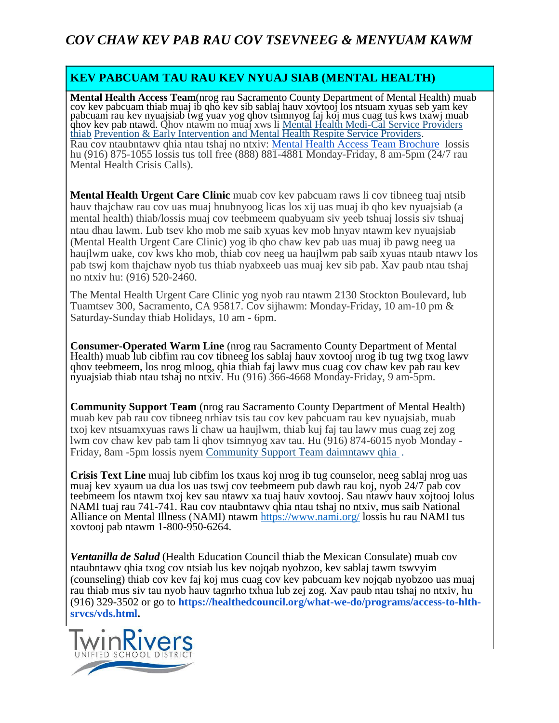### **KEV PABCUAM TAU RAU KEV NYUAJ SIAB (MENTAL HEALTH)**

**Mental Health Access Team**(nrog rau Sacramento County Department of Mental Health) muab cov kev pabcuam thiab muaj ib qho kev sib sablaj hauv xovtooj los ntsuam xyuas seb yam kev pabcuam rau kev nyuajsiab twg yuav yog qhov tsimnyog faj koj mus cuag tus kws txawj muab qhov kev pab ntawd. Qhov ntawm no muaj xws li <u>Mental Health Medi-Cal Service Providers</u> [thiab](https://dhs.saccounty.net/BHS/Pages/GI-Mental-Health-Providers.aspx) [Prevention & Early Intervention and Mental Health Respite Service Providers.](https://dhs.saccounty.net/BHS/Pages/GI-Mental-Health-Providers.aspx) Rau cov ntaubntawv qhia ntau tshaj no ntxiv: [Mental Health Access Team Brochure](https://dhs.saccounty.net/BHS/Documents/Provider-Forms/Brochures/BR-Access-Team-Brochure-English.pdf) lossis hu (916) 875-1055 lossis tus toll free (888) 881-4881 Monday-Friday, 8 am-5pm (24/7 rau Mental Health Crisis Calls).

**Mental Health Urgent Care Clinic** muab cov kev pabcuam raws li cov tibneeg tuaj ntsib hauv thajchaw rau cov uas muaj hnubnyoog licas los xij uas muaj ib qho kev nyuajsiab (a mental health) thiab/lossis muaj cov teebmeem quabyuam siv yeeb tshuaj lossis siv tshuaj ntau dhau lawm. Lub tsev kho mob me saib xyuas kev mob hnyav ntawm kev nyuajsiab (Mental Health Urgent Care Clinic) yog ib qho chaw kev pab uas muaj ib pawg neeg ua haujlwm uake, cov kws kho mob, thiab cov neeg ua haujlwm pab saib xyuas ntaub ntawv los pab tswj kom thajchaw nyob tus thiab nyabxeeb uas muaj kev sib pab. Xav paub ntau tshaj no ntxiv hu: (916) 520-2460.

The Mental Health Urgent Care Clinic yog nyob rau ntawm 2130 Stockton Boulevard, lub Tuamtsev 300, Sacramento, CA 95817. Cov sijhawm: Monday-Friday, 10 am-10 pm & Saturday-Sunday thiab Holidays, 10 am - 6pm.

**Consumer-Operated Warm Line** (nrog rau Sacramento County Department of Mental Health) muab lub cibfim rau cov tibneeg los sablaj hauv xovtooj nrog ib tug twg txog lawv qhov teebmeem, los nrog mloog, qhia thiab faj lawv mus cuag cov chaw kev pab rau kev nyuajsiab thiab ntau tshaj no ntxiv. Hu (916) 366-4668 Monday-Friday, 9 am-5pm.

**Community Support Team** (nrog rau Sacramento County Department of Mental Health) muab kev pab rau cov tibneeg nrhiav tsis tau cov kev pabcuam rau kev nyuajsiab, muab txoj kev ntsuamxyuas raws li chaw ua haujlwm, thiab kuj faj tau lawv mus cuag zej zog lwm cov chaw kev pab tam li qhov tsimnyog xav tau. Hu (916) 874-6015 nyob Monday - Friday, 8am -5pm lossis nyem Community Support Team daimntawv qhia .

**Crisis Text Line** muaj lub cibfim los txaus koj nrog ib tug counselor, neeg sablaj nrog uas muaj kev xyaum ua dua los uas tswj cov teebmeem pub dawb rau koj, nyob 24/7 pab cov teebmeem los ntawm txoj kev sau ntawv xa tuaj hauv xovtooj. Sau ntawv hauv xojtooj lolus NAMI tuaj rau 741-741. Rau cov ntaubntawv qhia ntau tshaj no ntxiv, mus saib National Alliance on Mental Illness (NAMI) ntawm <https://www.nami.org/> lossis hu rau NAMI tus xovtooj pab ntawm 1-800-950-6264.

*Ventanilla de Salud* (Health Education Council thiab the Mexican Consulate) muab cov ntaubntawv qhia txog cov ntsiab lus kev nojqab nyobzoo, kev sablaj tawm tswvyim (counseling) thiab cov kev faj koj mus cuag cov kev pabcuam kev nojqab nyobzoo uas muaj rau thiab mus siv tau nyob hauv tagnrho txhua lub zej zog. Xav paub ntau tshaj no ntxiv, hu (916) 329-3502 or go to **[https://healthedcouncil.org/what-we-do/programs/access-to-hlth](https://healthedcouncil.org/what-we-do/programs/access-to-hlth-srvcs/vds.html)[srvcs/vds.html.](https://healthedcouncil.org/what-we-do/programs/access-to-hlth-srvcs/vds.html)**

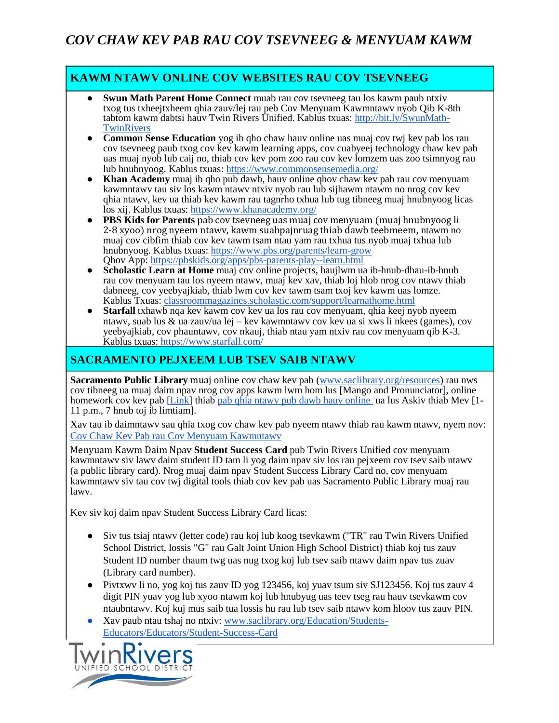## **KAWM NTAWV ONLINE COV WEBSITES RAU COV TSEVNEEG**

- **Swun Math Parent Home Connect** muab rau cov tsevneeg tau los kawm paub ntxiv txog tus txheejtxheem qhia zauv/lej rau peb Cov Menyuam Kawmntawv nyob Qib K-8th tabtom kawm dabtsi hauv Twin Rivers Unified. Kablus txuas: [http://bit.ly/SwunMath-](http://bit.ly/SwunMath-TwinRivers)**[TwinRivers](http://bit.ly/SwunMath-TwinRivers)**
- **Common Sense Education** yog ib qho chaw hauv online uas muaj cov twj kev pab los rau cov tsevneeg paub txog cov kev kawm learning apps, cov cuabyeej technology chaw kev pab uas muaj nyob lub caij no, thiab cov kev pom zoo rau cov kev lomzem uas zoo tsimnyog rau lub hnubnyoog. Kablus txuas:<https://www.commonsensemedia.org/>
- **Khan Academy** muaj ib qho pub dawb, hauv online qhov chaw kev pab rau cov menyuam kawmntawv tau siv los kawm ntawv ntxiv nyob rau lub sijhawm ntawm no nrog cov kev qhia ntawv, kev ua thiab kev kawm rau tagnrho txhua lub tug tibneeg muaj hnubnyoog licas los xij. Kablus txuas[: https://www.khanacademy.org/](https://www.khanacademy.org/)
- **PBS Kids for Parents** pab cov tsevneeg uas muaj cov menyuam (muaj hnubnyoog li 2-8 xyoo) nrog nyeem ntawv, kawm suabpajnruag thiab dawb teebmeem, ntawm no muaj cov cibfim thiab cov kev tawm tsam ntau yam rau txhua tus nyob muaj txhua lub hnubnyoog. Kablus txuas:<https://www.pbs.org/parents/learn-grow> Qhov App:<https://pbskids.org/apps/pbs-parents-play--learn.html>
- Scholastic Learn at Home muaj cov online projects, haujlwm ua ib-hnub-dhau-ib-hnub rau cov menyuam tau los nyeem ntawv, muaj kev xav, thiab loj hlob nrog cov ntawv thiab dabneeg, cov yeebyajkiab, thiab lwm cov kev tawm tsam txoj kev kawm uas lomze. Kablus Txuas: [classroommagazines.scholastic.com/support/learnathome.html](https://classroommagazines.scholastic.com/support/learnathome.html)
- **Starfall** txhawb nga kev kawm cov kev ua los rau cov menyuam, qhia keej nyob nyeem ntawv, suab lus  $\&$  ua zauv/ua lej – kev kawmntawv cov kev ua si xws li nkees (games), cov yeebyajkiab, cov phauntawv, cov nkauj, thiab ntau yam ntxiv rau cov menyuam qib K-3. Kablus txuas:<https://www.starfall.com/>

# **SACRAMENTO PEJXEEM LUB TSEV SAIB NTAWV**

**Sacramento Public Library** muaj online cov chaw kev pab [\(www.saclibrary.org/resources\)](http://www.saclibrary.org/resources) rau nws cov tibneeg ua muaj daim npav nrog cov apps kawm lwm hom lus [Mango and Pronunciator], online homework cov kev pab [\[Link\]](https://www.saclibrary.org/Education/Students-Educators/Homework-Help/Homework-Resources) thiab pab qhia ntawy pub dawb hauv online ua lus Askiv thiab Mev [1-11 p.m., 7 hnub toj ib limtiam].

Xav tau ib daimntawv sau qhia txog cov chaw kev pab nyeem ntawv thiab rau kawm ntawv, nyem nov: [Cov Chaw Kev Pab rau Cov Menyuam Kawmntawv](http://www.twinriversusd.org/documents/Sacramento%20Public%20Library%20Reading%20and%20Learning%20Resources.pdf)

Menyuam Kawm Daim Npav **Student Success Card** pub Twin Rivers Unified cov menyuam kawmntawv siv lawv daim student ID tam li yog daim npav siv los rau pejxeem cov tsev saib ntawv (a public library card). Nrog muaj daim npav Student Success Library Card no, cov menyuam kawmntawv siv tau cov twj digital tools thiab cov kev pab uas Sacramento Public Library muaj rau lawv.

Kev siv koj daim npav Student Success Library Card licas:

- Siv tus tsiaj ntawv (letter code) rau koj lub koog tsevkawm ("TR" rau Twin Rivers Unified School District, lossis "G" rau Galt Joint Union High School District) thiab koj tus zauv Student ID number thaum twg uas nug txog koj lub tsev saib ntawv daim npav tus zuav (Library card number).
- Pivtxwv li no, yog koj tus zauv ID yog 123456, koj yuav tsum siv SJ123456. Koj tus zauv 4 digit PIN yuav yog lub xyoo ntawm koj lub hnubyug uas teev tseg rau hauv tsevkawm cov ntaubntawv. Koj kuj mus saib tua lossis hu rau lub tsev saib ntawv kom hloov tus zauv PIN.
- Xav paub ntau tshaj no ntxiv: [www.saclibrary.org/Education/Students-](https://www.saclibrary.org/Education/Students-Educators/Educators/Student-Success-Card)[Educators/Educators/Student-Success-Card](https://www.saclibrary.org/Education/Students-Educators/Educators/Student-Success-Card)

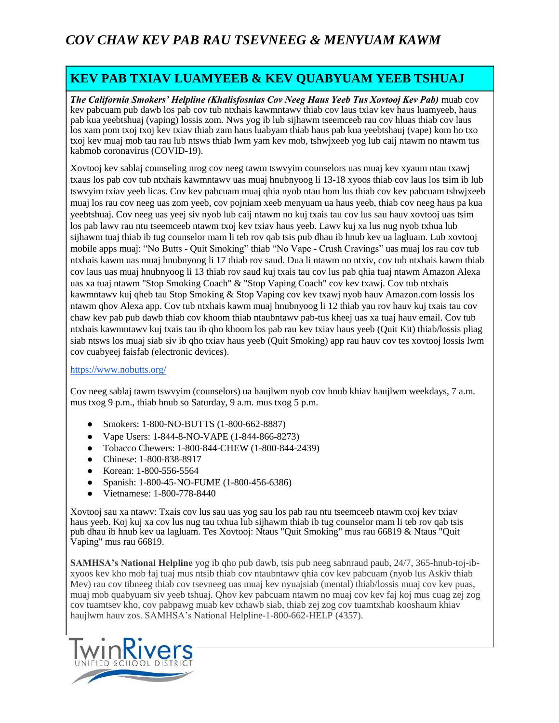# *COV CHAW KEV PAB RAU TSEVNEEG & MENYUAM KAWM*

# **KEV PAB TXIAV LUAMYEEB & KEV QUABYUAM YEEB TSHUAJ**

*The California Smokers' Helpline (Khalisfosnias Cov Neeg Haus Yeeb Tus Xovtooj Kev Pab)* muab cov kev pabcuam pub dawb los pab cov tub ntxhais kawmntawv thiab cov laus txiav kev haus luamyeeb, haus pab kua yeebtshuaj (vaping) lossis zom. Nws yog ib lub sijhawm tseemceeb rau cov hluas thiab cov laus los xam pom txoj txoj kev txiav thiab zam haus luabyam thiab haus pab kua yeebtshauj (vape) kom ho txo txoj kev muaj mob tau rau lub ntsws thiab lwm yam kev mob, tshwjxeeb yog lub caij ntawm no ntawm tus kabmob coronavirus (COVID-19).

Xovtooj kev sablaj counseling nrog cov neeg tawm tswvyim counselors uas muaj kev xyaum ntau txawj txaus los pab cov tub ntxhais kawmntawv uas muaj hnubnyoog li 13-18 xyoos thiab cov laus los tsim ib lub tswvyim txiav yeeb licas. Cov kev pabcuam muaj qhia nyob ntau hom lus thiab cov kev pabcuam tshwjxeeb muaj los rau cov neeg uas zom yeeb, cov pojniam xeeb menyuam ua haus yeeb, thiab cov neeg haus pa kua yeebtshuaj. Cov neeg uas yeej siv nyob lub caij ntawm no kuj txais tau cov lus sau hauv xovtooj uas tsim los pab lawv rau ntu tseemceeb ntawm txoj kev txiav haus yeeb. Lawv kuj xa lus nug nyob txhua lub sijhawm tuaj thiab ib tug counselor mam li teb rov qab tsis pub dhau ib hnub kev ua lagluam. Lub xovtooj mobile apps muaj: "No Butts - Quit Smoking" thiab "No Vape - Crush Cravings" uas muaj los rau cov tub ntxhais kawm uas muaj hnubnyoog li 17 thiab rov saud. Dua li ntawm no ntxiv, cov tub ntxhais kawm thiab cov laus uas muaj hnubnyoog li 13 thiab rov saud kuj txais tau cov lus pab qhia tuaj ntawm Amazon Alexa uas xa tuaj ntawm "Stop Smoking Coach" & "Stop Vaping Coach" cov kev txawj. Cov tub ntxhais kawmntawv kuj qheb tau Stop Smoking & Stop Vaping cov kev txawj nyob hauv Amazon.com lossis los ntawm qhov Alexa app. Cov tub ntxhais kawm muaj hnubnyoog li 12 thiab yau rov hauv kuj txais tau cov chaw kev pab pub dawb thiab cov khoom thiab ntaubntawv pab-tus kheej uas xa tuaj hauv email. Cov tub ntxhais kawmntawv kuj txais tau ib qho khoom los pab rau kev txiav haus yeeb (Quit Kit) thiab/lossis pliag siab ntsws los muaj siab siv ib qho txiav haus yeeb (Quit Smoking) app rau hauv cov tes xovtooj lossis lwm cov cuabyeej faisfab (electronic devices).

#### <https://www.nobutts.org/>

Cov neeg sablaj tawm tswvyim (counselors) ua haujlwm nyob cov hnub khiav haujlwm weekdays, 7 a.m. mus txog 9 p.m., thiab hnub so Saturday, 9 a.m. mus txog 5 p.m.

- Smokers: 1-800-NO-BUTTS (1-800-662-8887)
- Vape Users: 1-844-8-NO-VAPE (1-844-866-8273)
- Tobacco Chewers: 1-800-844-CHEW (1-800-844-2439)
- Chinese: 1-800-838-8917
- Korean: 1-800-556-5564
- Spanish: 1-800-45-NO-FUME (1-800-456-6386)
- Vietnamese: 1-800-778-8440

Xovtooj sau xa ntawv: Txais cov lus sau uas yog sau los pab rau ntu tseemceeb ntawm txoj kev txiav haus yeeb. Koj kuj xa cov lus nug tau txhua lub sijhawm thiab ib tug counselor mam li teb rov qab tsis pub dhau ib hnub kev ua lagluam. Tes Xovtooj: Ntaus "Quit Smoking" mus rau 66819 & Ntaus "Quit Vaping" mus rau 66819.

**SAMHSA's National Helpline** yog ib qho pub dawb, tsis pub neeg sabnraud paub, 24/7, 365-hnub-toj-ibxyoos kev kho mob faj tuaj mus ntsib thiab cov ntaubntawv qhia cov kev pabcuam (nyob lus Askiv thiab Mev) rau cov tibneeg thiab cov tsevneeg uas muaj kev nyuajsiab (mental) thiab/lossis muaj cov kev puas, muaj mob quabyuam siv yeeb tshuaj. Qhov kev pabcuam ntawm no muaj cov kev faj koj mus cuag zej zog cov tuamtsev kho, cov pabpawg muab kev txhawb siab, thiab zej zog cov tuamtxhab kooshaum khiav haujlwm hauv zos. SAMHSA's National Helpline-1-800-662-HELP (4357).